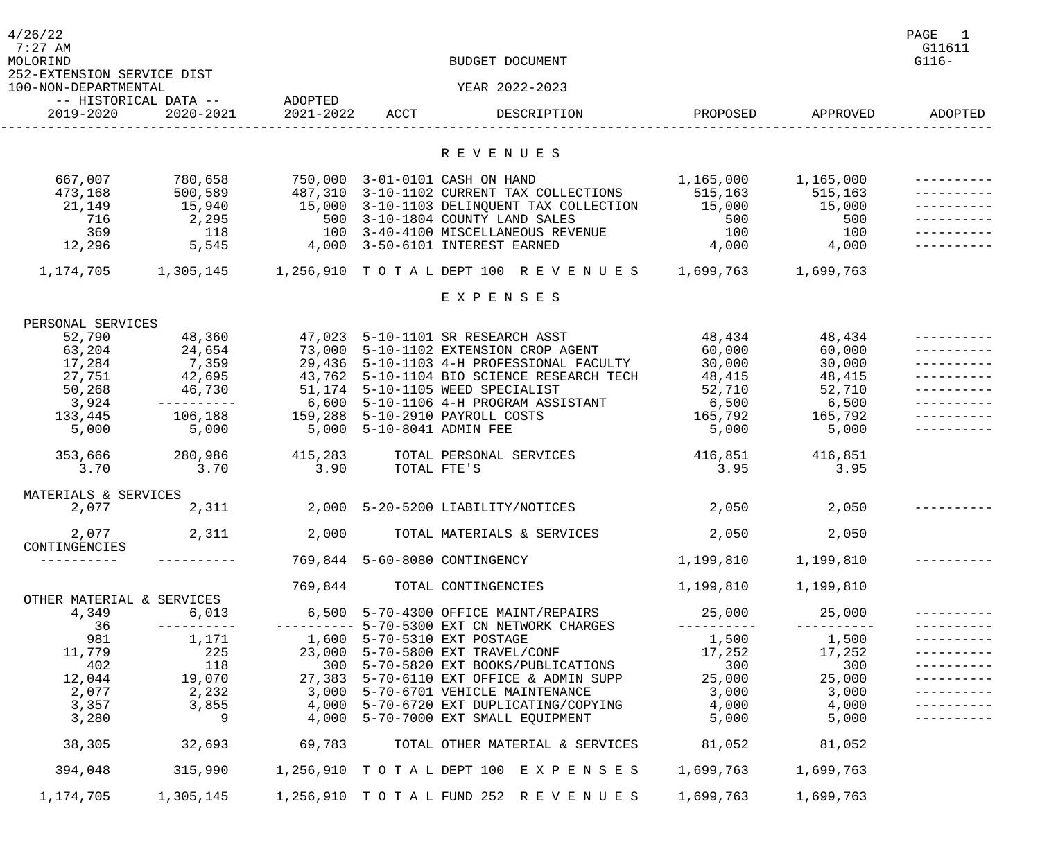| 4/26/22<br>$7:27$ AM<br>MOLORIND                   | BUDGET DOCUMENT                    |                           |                           |                                                                                                                                                                                                            |                  |                      |         |
|----------------------------------------------------|------------------------------------|---------------------------|---------------------------|------------------------------------------------------------------------------------------------------------------------------------------------------------------------------------------------------------|------------------|----------------------|---------|
| 252-EXTENSION SERVICE DIST<br>100-NON-DEPARTMENTAL |                                    |                           |                           | YEAR 2022-2023                                                                                                                                                                                             |                  |                      |         |
| 2019-2020                                          | -- HISTORICAL DATA --<br>2020-2021 | ADOPTED<br>2021-2022 ACCT |                           | DESCRIPTION                                                                                                                                                                                                | PROPOSED         | APPROVED             | ADOPTED |
|                                                    |                                    |                           |                           | R E V E N U E S                                                                                                                                                                                            |                  |                      |         |
|                                                    |                                    |                           |                           |                                                                                                                                                                                                            |                  |                      |         |
| 667,007                                            | 780,658<br>500,589                 |                           |                           | 750,000 3-01-0101 CASH ON HAND<br>487,310 3-10-1102 CURRENT TAX COLLECTIONS                                                                                                                                | 1,165,000        | 1,165,000<br>515,163 |         |
| 473,168<br>21,149                                  | 15,940                             |                           |                           | 15,000  3-10-1103 DELINQUENT TAX COLLECTION  15,000                                                                                                                                                        | 515, 163         | 15,000               |         |
| 716                                                | 2,295                              |                           |                           | 500 3-10-1804 COUNTY LAND SALES                                                                                                                                                                            |                  | 500                  |         |
| 369                                                | 118                                |                           |                           | 100 3-40-4100 MISCELLANEOUS REVENUE                                                                                                                                                                        | $\frac{56}{100}$ | 100                  |         |
| 12,296                                             | 5,545                              |                           |                           | 4,000 3-50-6101 INTEREST EARNED                                                                                                                                                                            | 4,000            | 4,000                |         |
|                                                    |                                    |                           |                           | 1, 174, 705 1, 305, 145 1, 256, 910 TOTAL DEPT 100 REVENUES 1, 699, 763 1, 699, 763                                                                                                                        |                  |                      |         |
|                                                    |                                    |                           |                           | EXPENSES                                                                                                                                                                                                   |                  |                      |         |
| PERSONAL SERVICES                                  |                                    |                           |                           |                                                                                                                                                                                                            |                  |                      |         |
| 52,790                                             | 48,360                             |                           |                           | 47,023 5-10-1101 SR RESEARCH ASST                                                                                                                                                                          | 48,434           | 48,434               |         |
| 63,204                                             | 24,654                             |                           |                           | 73,000 5-10-1102 EXTENSION CROP AGENT                                                                                                                                                                      | 60,000           | 60,000               |         |
| 17,284                                             | 7,359                              |                           |                           | 29,436 5-10-1103 4-H PROFESSIONAL FACULTY<br>43,762 5-10-1104 BIO SCIENCE RESEARCH TECH                                                                                                                    | 30,000           | 30,000               |         |
| 27,751                                             | 42,695                             |                           |                           |                                                                                                                                                                                                            | 48,415           | 48,415               |         |
| 50,268                                             | 46,730                             |                           |                           | 51,174 5-10-1105 WEED SPECIALIST                                                                                                                                                                           | 52,710           | 52,710               |         |
| 3,924<br>133,445                                   | -----------                        |                           |                           | 6,600 5-10-1106 4-H PROGRAM ASSISTANT                                                                                                                                                                      | 6,500<br>165,792 | 6,500<br>165,792     |         |
| 5,000                                              | 106,188<br>5,000                   |                           | 5,000 5-10-8041 ADMIN FEE | 159,288 5-10-2910 PAYROLL COSTS                                                                                                                                                                            | 5,000            | 5,000                |         |
|                                                    |                                    |                           |                           |                                                                                                                                                                                                            |                  |                      |         |
| 353,666                                            | 280,986                            | 415,283                   |                           | TOTAL PERSONAL SERVICES                                                                                                                                                                                    | 416,851          | 416,851              |         |
| 3.70                                               | 3.70                               | 3.90                      | TOTAL FTE'S               |                                                                                                                                                                                                            | 3.95             | 3.95                 |         |
| MATERIALS & SERVICES                               |                                    |                           |                           |                                                                                                                                                                                                            |                  |                      |         |
| 2,077                                              | 2,311                              |                           |                           | 2,000 5-20-5200 LIABILITY/NOTICES                                                                                                                                                                          | 2,050            | 2,050                |         |
| 2,077                                              |                                    |                           |                           | $2,311$ $2,000$ TOTAL MATERIALS & SERVICES                                                                                                                                                                 | 2,050            | 2,050                |         |
| CONTINGENCIES                                      |                                    |                           |                           |                                                                                                                                                                                                            |                  |                      |         |
|                                                    |                                    |                           |                           | 769,844 5-60-8080 CONTINGENCY                                                                                                                                                                              | 1,199,810        | 1,199,810            |         |
| OTHER MATERIAL & SERVICES                          |                                    |                           |                           | 769,844 TOTAL CONTINGENCIES                                                                                                                                                                                | 1,199,810        | 1,199,810            |         |
| 4,349                                              | 6,013                              |                           |                           | 6,500 5-70-4300 OFFICE MAINT/REPAIRS                                                                                                                                                                       | 25,000           | 25,000               |         |
| 36                                                 | -----------                        |                           |                           | ---------- 5-70-5300 EXT CN NETWORK CHARGES                                                                                                                                                                | -----------      |                      |         |
| 981                                                | 1,171                              |                           |                           | 1,600 5-70-5310 EXT POSTAGE                                                                                                                                                                                | 1,500            | 1,500<br>17,252      |         |
| 11,779                                             | 225                                |                           |                           |                                                                                                                                                                                                            |                  |                      |         |
| 402                                                | 118                                |                           |                           | 23,000 5-70-5800 EXT TRAVEL/CONF 17,252<br>300 5-70-5820 EXT BOOKS/PUBLICATIONS 300<br>27,383 5-70-6110 EXT OFFICE & ADMIN SUPP 25,000                                                                     |                  | 300                  |         |
| 12,044                                             | 19,070                             |                           |                           |                                                                                                                                                                                                            |                  | 25,000               |         |
| 2,077                                              | 2,232<br>3,855                     |                           |                           | $3,000$ 5-70-6701 VEHICLE MAINTENANCE                                                                                                                                                                      |                  | 3,000                |         |
| 3,357<br>3,280                                     | 9                                  |                           |                           | כ בי של ה- יטרי לאומצות של ה- יטרי ל- יטרי ל- יטרי ל- יטרי ל- יטרי ל- 1,000<br>4,000 5-70-6720 EXT DUPLICATING/COPYING 4,000<br>4,000 5-70-7000 EXT SMALL FOUIDMENT<br>4,000 5-70-7000 EXT SMALL EQUIPMENT | 5,000            | 4,000<br>5,000       |         |
|                                                    |                                    |                           |                           |                                                                                                                                                                                                            |                  |                      |         |
| 38,305                                             | 32,693                             |                           |                           |                                                                                                                                                                                                            |                  | 81,052               |         |
| 394,048                                            |                                    |                           |                           | 315,990            1,256,910      TO    TA    LDEPT 100     EXPENSES     1,699,763                                                                                                                         |                  | 1,699,763            |         |
| 1,174,705                                          |                                    |                           |                           | 1,305,145          1,256,910   T O T A L FUND  252   R E V E N U E S         1,699,763                                                                                                                     |                  | 1,699,763            |         |